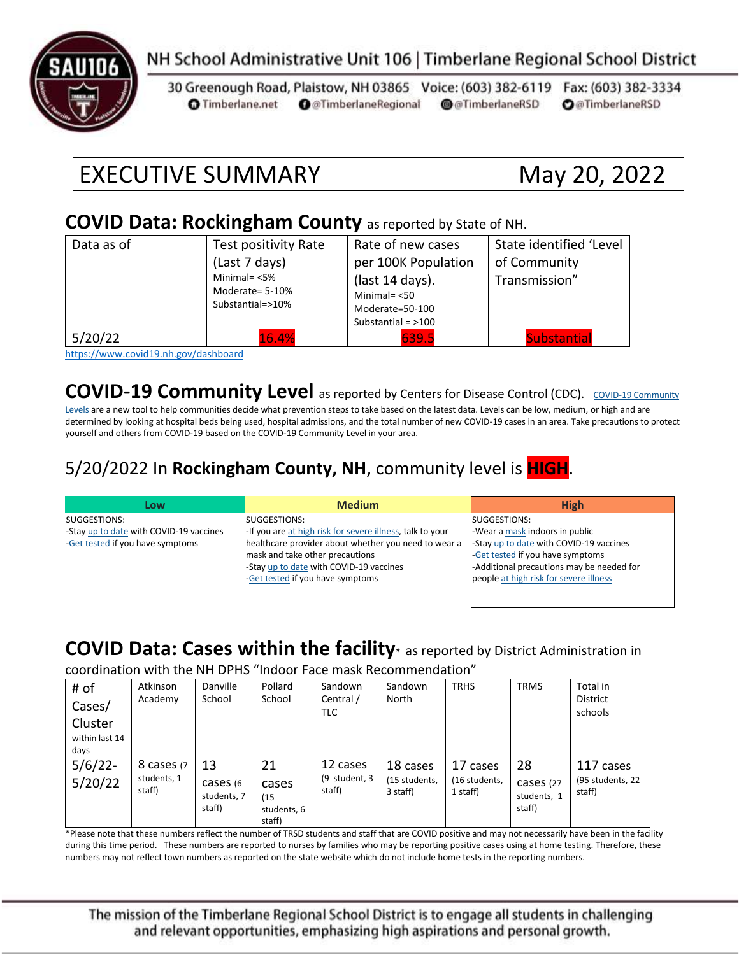

## NH School Administrative Unit 106 | Timberlane Regional School District

30 Greenough Road, Plaistow, NH 03865 Voice: (603) 382-6119 Fax: (603) 382-3334 **O** @TimberlaneRegional @@TimberlaneRSD **O**@TimberlaneRSD **O** Timberlane.net

# EXECUTIVE SUMMARY May 20, 2022

#### **COVID Data: Rockingham County** as reported by State of NH.

| Data as of | Test positivity Rate                                   | Rate of new cases    | State identified 'Level |  |
|------------|--------------------------------------------------------|----------------------|-------------------------|--|
|            | (Last 7 days)                                          | per 100K Population  | of Community            |  |
|            | Minimal= $<$ 5%<br>Moderate= 5-10%<br>Substantial=>10% | (last 14 days).      | Transmission"           |  |
|            |                                                        | Minimal $=$ <50      |                         |  |
|            |                                                        | Moderate=50-100      |                         |  |
|            |                                                        | Substantial = $>100$ |                         |  |
| 5/20/22    | 16.4%                                                  | 639.5                | <b>Substantial</b>      |  |

<https://www.covid19.nh.gov/dashboard>

**[COVID-19 Community](https://www.cdc.gov/coronavirus/2019-ncov/science/community-levels.html) Level** as reported by Centers for Disease Control (CDC). COVID-19 Community

[Levels](https://www.cdc.gov/coronavirus/2019-ncov/science/community-levels.html) are a new tool to help communities decide what prevention steps to take based on the latest data. Levels can be low, medium, or high and are determined by looking at hospital beds being used, hospital admissions, and the total number of new COVID-19 cases in an area. Take precautions to protect yourself and others from COVID-19 based on the COVID-19 Community Level in your area.

#### 5/20/2022 In **Rockingham County, NH**, community level is **HIGH**.

| Low                                     | <b>Medium</b>                                             | <b>High</b>                               |
|-----------------------------------------|-----------------------------------------------------------|-------------------------------------------|
| SUGGESTIONS:                            | SUGGESTIONS:                                              | SUGGESTIONS:                              |
| -Stay up to date with COVID-19 vaccines | -If you are at high risk for severe illness, talk to your | -Wear a mask indoors in public            |
| -Get tested if you have symptoms        | healthcare provider about whether you need to wear a      | -Stay up to date with COVID-19 vaccines   |
|                                         | mask and take other precautions                           | -Get tested if you have symptoms          |
|                                         | -Stay up to date with COVID-19 vaccines                   | -Additional precautions may be needed for |
|                                         | -Get tested if you have symptoms                          | people at high risk for severe illness    |
|                                         |                                                           |                                           |

#### **COVID Data: Cases within the facility\*** as reported by District Administration in

coordination with the NH DPHS "Indoor Face mask Recommendation"

| # of<br>Cases/<br>Cluster<br>within last 14<br>days | Atkinson<br>Academy                 | Danville<br>School                       | Pollard<br>School                            | Sandown<br>Central /<br><b>TLC</b>  | Sandown<br>North                      | <b>TRHS</b>                           | <b>TRMS</b>                              | Total in<br><b>District</b><br>schools  |
|-----------------------------------------------------|-------------------------------------|------------------------------------------|----------------------------------------------|-------------------------------------|---------------------------------------|---------------------------------------|------------------------------------------|-----------------------------------------|
| $5/6/22$ -<br>5/20/22                               | 8 cases (7<br>students, 1<br>staff) | 13<br>cases (6)<br>students, 7<br>staff) | 21<br>cases<br>(15)<br>students, 6<br>staff) | 12 cases<br>(9 student, 3<br>staff) | 18 cases<br>(15 students,<br>3 staff) | 17 cases<br>(16 students,<br>1 staff) | 28<br>cases (27<br>students, 1<br>staff) | 117 cases<br>(95 students, 22<br>staff) |

\*Please note that these numbers reflect the number of TRSD students and staff that are COVID positive and may not necessarily have been in the facility during this time period. These numbers are reported to nurses by families who may be reporting positive cases using at home testing. Therefore, these numbers may not reflect town numbers as reported on the state website which do not include home tests in the reporting numbers.

The mission of the Timberlane Regional School District is to engage all students in challenging and relevant opportunities, emphasizing high aspirations and personal growth.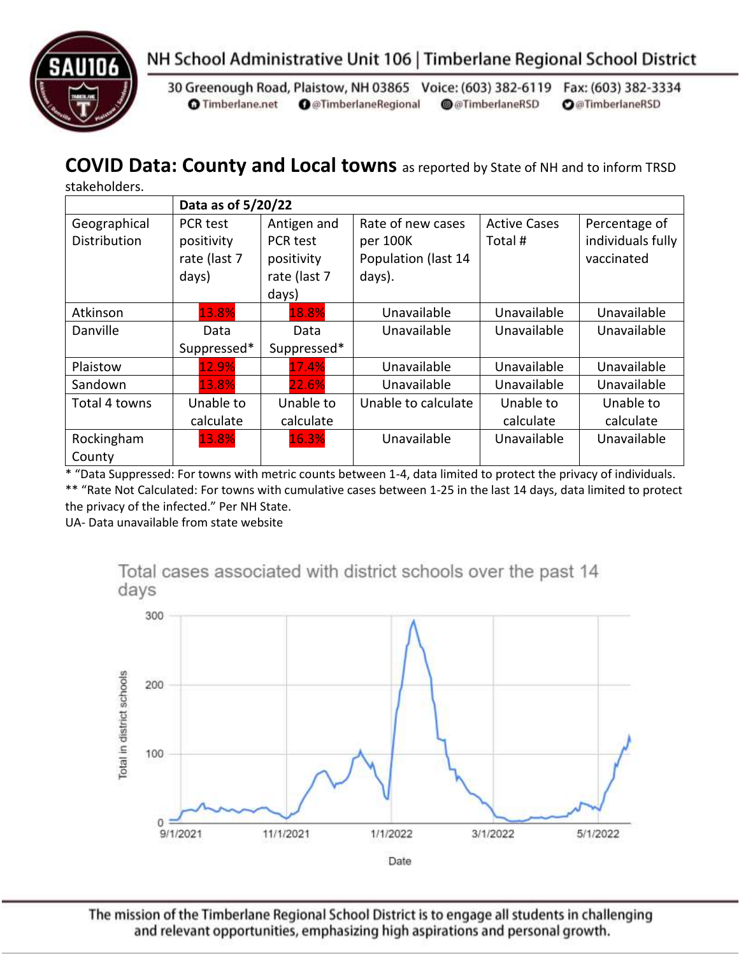

30 Greenough Road, Plaistow, NH 03865 Voice: (603) 382-6119 Fax: (603) 382-3334 **O** Timberlane.net **O** @TimberlaneRegional @@TimberlaneRSD **O**@TimberlaneRSD

# **COVID Data: County and Local towns** as reported by State of NH and to inform TRSD

|  | stakeholders. |
|--|---------------|
|  |               |

|                     | Data as of 5/20/22 |                 |                     |                     |                   |  |
|---------------------|--------------------|-----------------|---------------------|---------------------|-------------------|--|
| Geographical        | PCR test           | Antigen and     | Rate of new cases   | <b>Active Cases</b> | Percentage of     |  |
| <b>Distribution</b> | positivity         | <b>PCR</b> test | per 100K            | Total #             | individuals fully |  |
|                     | rate (last 7       | positivity      | Population (last 14 |                     | vaccinated        |  |
|                     | days)              | rate (last 7    | days).              |                     |                   |  |
|                     |                    | days)           |                     |                     |                   |  |
| Atkinson            | 13.8%              | 18.8%           | Unavailable         | Unavailable         | Unavailable       |  |
| Danville            | Data               | Data            | Unavailable         | Unavailable         | Unavailable       |  |
|                     | Suppressed*        | Suppressed*     |                     |                     |                   |  |
| Plaistow            | 12.9%              | 17.4%           | Unavailable         | Unavailable         | Unavailable       |  |
| Sandown             | 13.8%              | 22.6%           | Unavailable         | Unavailable         | Unavailable       |  |
| Total 4 towns       | Unable to          | Unable to       | Unable to calculate | Unable to           | Unable to         |  |
|                     | calculate          | calculate       |                     | calculate           | calculate         |  |
| Rockingham          | 13.8%              | 16.3%           | Unavailable         | Unavailable         | Unavailable       |  |
| County              |                    |                 |                     |                     |                   |  |

\* "Data Suppressed: For towns with metric counts between 1-4, data limited to protect the privacy of individuals. \*\* "Rate Not Calculated: For towns with cumulative cases between 1-25 in the last 14 days, data limited to protect the privacy of the infected." Per NH State.

UA- Data unavailable from state website

Total cases associated with district schools over the past 14 days



The mission of the Timberlane Regional School District is to engage all students in challenging and relevant opportunities, emphasizing high aspirations and personal growth.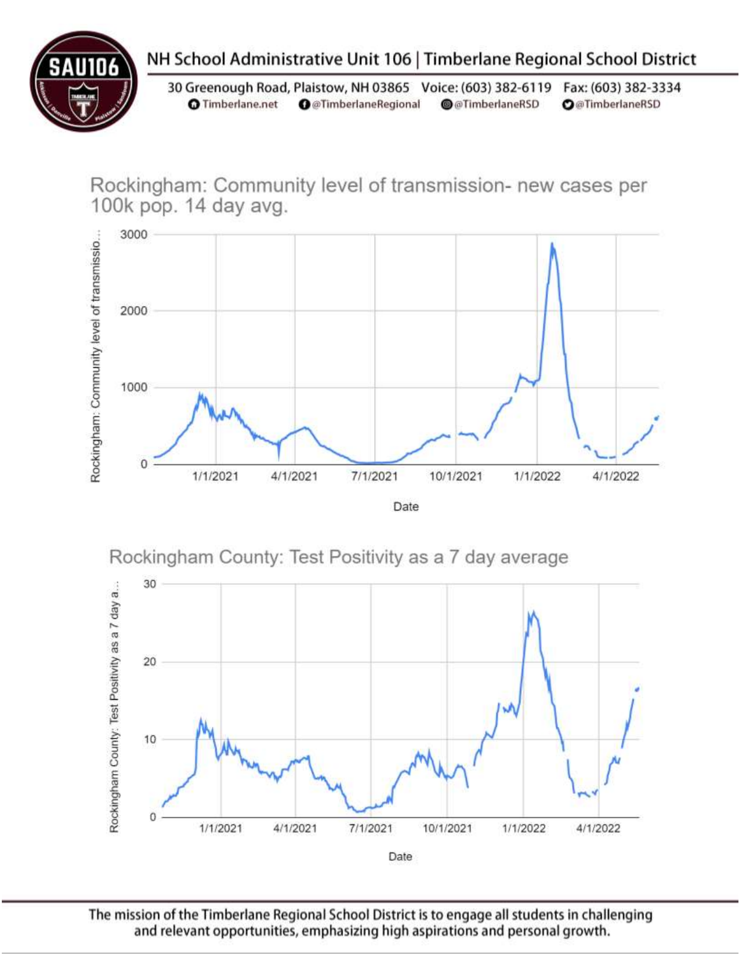

# NH School Administrative Unit 106 | Timberlane Regional School District

30 Greenough Road, Plaistow, NH 03865 Voice: (603) 382-6119 Fax: (603) 382-3334 **O** Timberlane.net **O** @TimberlaneRegional @@TimberlaneRSD **O**@TimberlaneRSD

Rockingham: Community level of transmission- new cases per 100k pop. 14 day avg.







The mission of the Timberlane Regional School District is to engage all students in challenging and relevant opportunities, emphasizing high aspirations and personal growth.